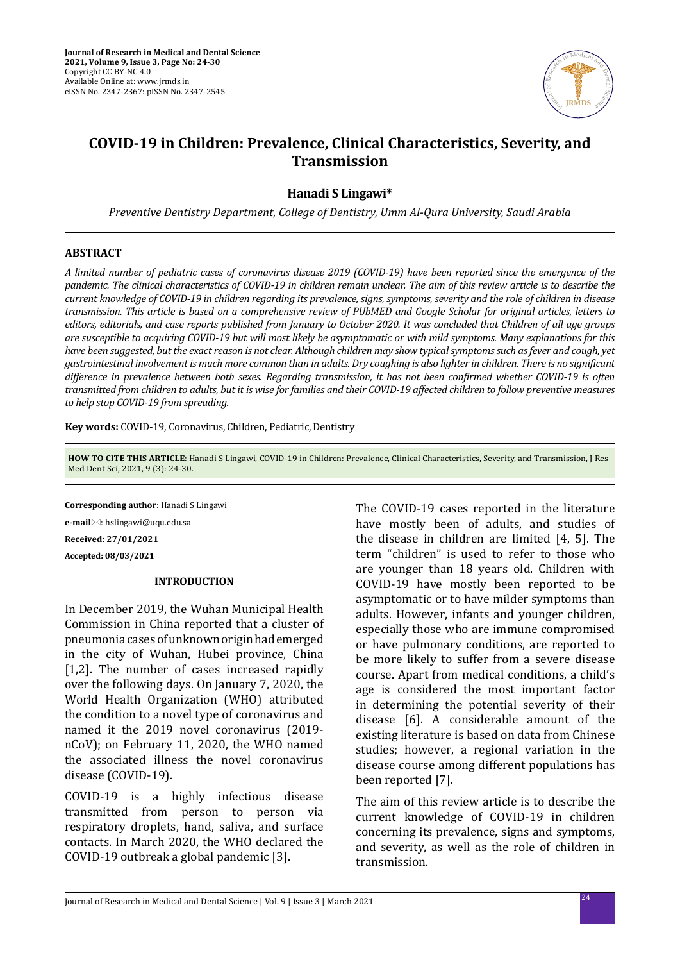

# **COVID-19 in Children: Prevalence, Clinical Characteristics, Severity, and Transmission**

**Hanadi S Lingawi\***

*Preventive Dentistry Department, College of Dentistry, Umm Al-Qura University, Saudi Arabia*

### **ABSTRACT**

*A limited number of pediatric cases of coronavirus disease 2019 (COVID-19) have been reported since the emergence of the pandemic. The clinical characteristics of COVID-19 in children remain unclear. The aim of this review article is to describe the current knowledge of COVID-19 in children regarding its prevalence, signs, symptoms, severity and the role of children in disease transmission. This article is based on a comprehensive review of PUbMED and Google Scholar for original articles, letters to editors, editorials, and case reports published from January to October 2020. It was concluded that Children of all age groups are susceptible to acquiring COVID-19 but will most likely be asymptomatic or with mild symptoms. Many explanations for this have been suggested, but the exact reason is not clear. Although children may show typical symptoms such as fever and cough, yet gastrointestinal involvement is much more common than in adults. Dry coughing is also lighter in children. There is no significant difference in prevalence between both sexes. Regarding transmission, it has not been confirmed whether COVID-19 is often transmitted from children to adults, but it is wise for families and their COVID-19 affected children to follow preventive measures to help stop COVID-19 from spreading.*

**Key words:** COVID-19, Coronavirus, Children, Pediatric, Dentistry

**HOW TO CITE THIS ARTICLE**: Hanadi S Lingawi, COVID-19 in Children: Prevalence, Clinical Characteristics, Severity, and Transmission, J Res Med Dent Sci, 2021, 9 (3): 24-30.

**Corresponding author**: Hanadi S Lingawi **e-mail**: hslingawi@uqu.edu.sa **Received: 27/01/2021 Accepted: 08/03/2021**

### **INTRODUCTION**

In December 2019, the Wuhan Municipal Health Commission in China reported that a cluster of pneumonia cases of unknown origin had emerged in the city of Wuhan, Hubei province, China [1,2]. The number of cases increased rapidly over the following days. On January 7, 2020, the World Health Organization (WHO) attributed the condition to a novel type of coronavirus and named it the 2019 novel coronavirus (2019 nCoV); on February 11, 2020, the WHO named the associated illness the novel coronavirus disease (COVID-19).

COVID-19 is a highly infectious disease transmitted from person to person via respiratory droplets, hand, saliva, and surface contacts. In March 2020, the WHO declared the COVID-19 outbreak a global pandemic [3].

The COVID-19 cases reported in the literature have mostly been of adults, and studies of the disease in children are limited [4, 5]. The term "children" is used to refer to those who are younger than 18 years old. Children with COVID-19 have mostly been reported to be asymptomatic or to have milder symptoms than adults. However, infants and younger children, especially those who are immune compromised or have pulmonary conditions, are reported to be more likely to suffer from a severe disease course. Apart from medical conditions, a child's age is considered the most important factor in determining the potential severity of their disease [6]. A considerable amount of the existing literature is based on data from Chinese studies; however, a regional variation in the disease course among different populations has been reported [7].

The aim of this review article is to describe the current knowledge of COVID-19 in children concerning its prevalence, signs and symptoms, and severity, as well as the role of children in transmission.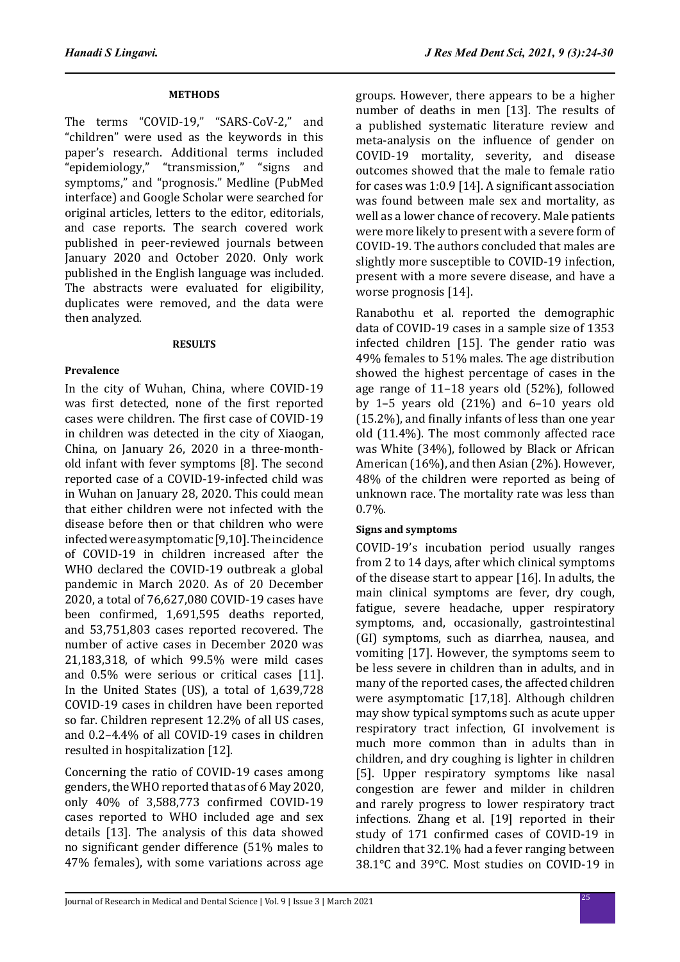### **METHODS**

The terms "COVID-19," "SARS-CoV-2," and "children" were used as the keywords in this paper's research. Additional terms included "epidemiology," "transmission," "signs and symptoms," and "prognosis." Medline (PubMed interface) and Google Scholar were searched for original articles, letters to the editor, editorials, and case reports. The search covered work published in peer-reviewed journals between January 2020 and October 2020. Only work published in the English language was included. The abstracts were evaluated for eligibility, duplicates were removed, and the data were then analyzed.

### **RESULTS**

### **Prevalence**

In the city of Wuhan, China, where COVID-19 was first detected, none of the first reported cases were children. The first case of COVID-19 in children was detected in the city of Xiaogan, China, on January 26, 2020 in a three-monthold infant with fever symptoms [8]. The second reported case of a COVID-19-infected child was in Wuhan on January 28, 2020. This could mean that either children were not infected with the disease before then or that children who were infected were asymptomatic [9,10]. The incidence of COVID-19 in children increased after the WHO declared the COVID-19 outbreak a global pandemic in March 2020. As of 20 December 2020, a total of 76,627,080 COVID-19 cases have been confirmed, 1,691,595 deaths reported, and 53,751,803 cases reported recovered. The number of active cases in December 2020 was 21,183,318, of which 99.5% were mild cases and 0.5% were serious or critical cases [11]. In the United States (US), a total of 1,639,728 COVID-19 cases in children have been reported so far. Children represent 12.2% of all US cases, and 0.2–4.4% of all COVID-19 cases in children resulted in hospitalization [12].

Concerning the ratio of COVID-19 cases among genders, the WHO reported that as of 6 May 2020, only 40% of 3,588,773 confirmed COVID-19 cases reported to WHO included age and sex details [13]. The analysis of this data showed no significant gender difference (51% males to 47% females), with some variations across age

groups. However, there appears to be a higher number of deaths in men [13]. The results of a published systematic literature review and meta-analysis on the influence of gender on COVID-19 mortality, severity, and disease outcomes showed that the male to female ratio for cases was 1:0.9 [14]. A significant association was found between male sex and mortality, as well as a lower chance of recovery. Male patients were more likely to present with a severe form of COVID-19. The authors concluded that males are slightly more susceptible to COVID-19 infection, present with a more severe disease, and have a worse prognosis [14].

Ranabothu et al. reported the demographic data of COVID-19 cases in a sample size of 1353 infected children [15]. The gender ratio was 49% females to 51% males. The age distribution showed the highest percentage of cases in the age range of 11–18 years old (52%), followed by 1–5 years old (21%) and 6–10 years old (15.2%), and finally infants of less than one year old (11.4%). The most commonly affected race was White (34%), followed by Black or African American (16%), and then Asian (2%). However, 48% of the children were reported as being of unknown race. The mortality rate was less than  $0.7\%$ .

### **Signs and symptoms**

COVID-19's incubation period usually ranges from 2 to 14 days, after which clinical symptoms of the disease start to appear [16]. In adults, the main clinical symptoms are fever, dry cough, fatigue, severe headache, upper respiratory symptoms, and, occasionally, gastrointestinal (GI) symptoms, such as diarrhea, nausea, and vomiting [17]. However, the symptoms seem to be less severe in children than in adults, and in many of the reported cases, the affected children were asymptomatic [17,18]. Although children may show typical symptoms such as acute upper respiratory tract infection, GI involvement is much more common than in adults than in children, and dry coughing is lighter in children [5]. Upper respiratory symptoms like nasal congestion are fewer and milder in children and rarely progress to lower respiratory tract infections. Zhang et al. [19] reported in their study of 171 confirmed cases of COVID-19 in children that 32.1% had a fever ranging between 38.1°C and 39°C. Most studies on COVID-19 in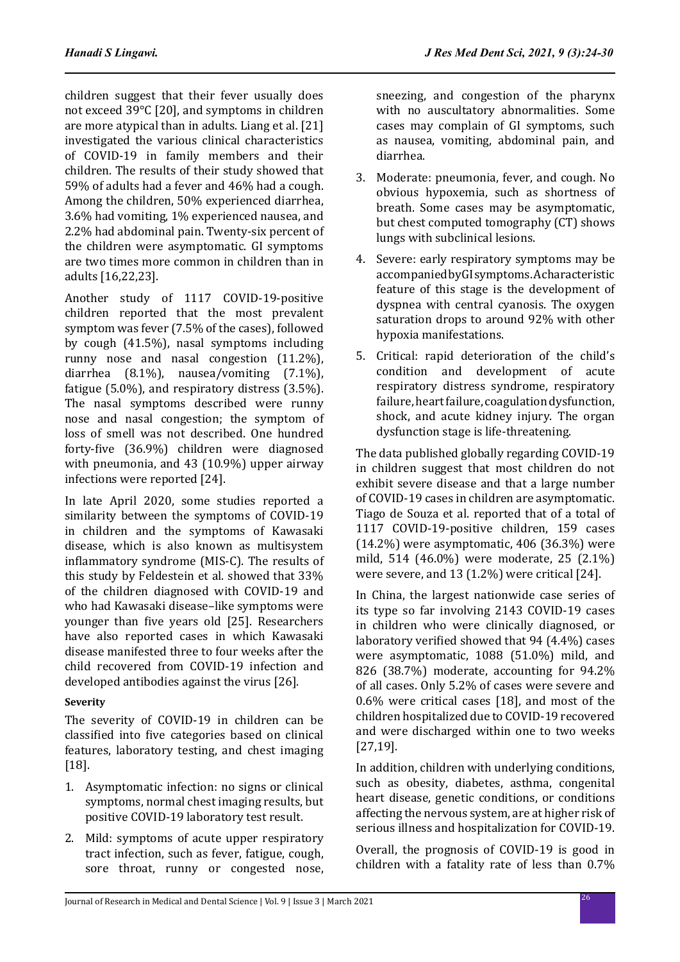children suggest that their fever usually does not exceed 39°C [20], and symptoms in children are more atypical than in adults. Liang et al. [21] investigated the various clinical characteristics of COVID-19 in family members and their children. The results of their study showed that 59% of adults had a fever and 46% had a cough. Among the children, 50% experienced diarrhea, 3.6% had vomiting, 1% experienced nausea, and 2.2% had abdominal pain. Twenty-six percent of the children were asymptomatic. GI symptoms are two times more common in children than in adults [16,22,23].

Another study of 1117 COVID-19-positive children reported that the most prevalent symptom was fever (7.5% of the cases), followed by cough (41.5%), nasal symptoms including runny nose and nasal congestion (11.2%), diarrhea (8.1%), nausea/vomiting (7.1%), fatigue (5.0%), and respiratory distress (3.5%). The nasal symptoms described were runny nose and nasal congestion; the symptom of loss of smell was not described. One hundred forty-five (36.9%) children were diagnosed with pneumonia, and 43 (10.9%) upper airway infections were reported [24].

In late April 2020, some studies reported a similarity between the symptoms of COVID-19 in children and the symptoms of Kawasaki disease, which is also known as multisystem inflammatory syndrome (MIS-C). The results of this study by Feldestein et al. showed that 33% of the children diagnosed with COVID-19 and who had Kawasaki disease–like symptoms were younger than five years old [25]. Researchers have also reported cases in which Kawasaki disease manifested three to four weeks after the child recovered from COVID-19 infection and developed antibodies against the virus [26].

## **Severity**

The severity of COVID-19 in children can be classified into five categories based on clinical features, laboratory testing, and chest imaging [18].

- 1. Asymptomatic infection: no signs or clinical symptoms, normal chest imaging results, but positive COVID-19 laboratory test result.
- 2. Mild: symptoms of acute upper respiratory tract infection, such as fever, fatigue, cough, sore throat, runny or congested nose,

sneezing, and congestion of the pharynx with no auscultatory abnormalities. Some cases may complain of GI symptoms, such as nausea, vomiting, abdominal pain, and diarrhea.

- 3. Moderate: pneumonia, fever, and cough. No obvious hypoxemia, such as shortness of breath. Some cases may be asymptomatic, but chest computed tomography (CT) shows lungs with subclinical lesions.
- 4. Severe: early respiratory symptoms may be accompanied by GI symptoms. A characteristic feature of this stage is the development of dyspnea with central cyanosis. The oxygen saturation drops to around 92% with other hypoxia manifestations.
- 5. Critical: rapid deterioration of the child's condition and development of acute respiratory distress syndrome, respiratory failure, heart failure, coagulation dysfunction, shock, and acute kidney injury. The organ dysfunction stage is life-threatening.

The data published globally regarding COVID-19 in children suggest that most children do not exhibit severe disease and that a large number of COVID-19 cases in children are asymptomatic. Tiago de Souza et al. reported that of a total of 1117 COVID-19-positive children, 159 cases (14.2%) were asymptomatic, 406 (36.3%) were mild, 514 (46.0%) were moderate, 25 (2.1%) were severe, and 13 (1.2%) were critical [24].

In China, the largest nationwide case series of its type so far involving 2143 COVID-19 cases in children who were clinically diagnosed, or laboratory verified showed that 94 (4.4%) cases were asymptomatic, 1088 (51.0%) mild, and 826 (38.7%) moderate, accounting for 94.2% of all cases. Only 5.2% of cases were severe and 0.6% were critical cases [18], and most of the children hospitalized due to COVID-19 recovered and were discharged within one to two weeks [27,19].

In addition, children with underlying conditions, such as obesity, diabetes, asthma, congenital heart disease, genetic conditions, or conditions affecting the nervous system, are at higher risk of serious illness and hospitalization for COVID-19.

Overall, the prognosis of COVID-19 is good in children with a fatality rate of less than 0.7%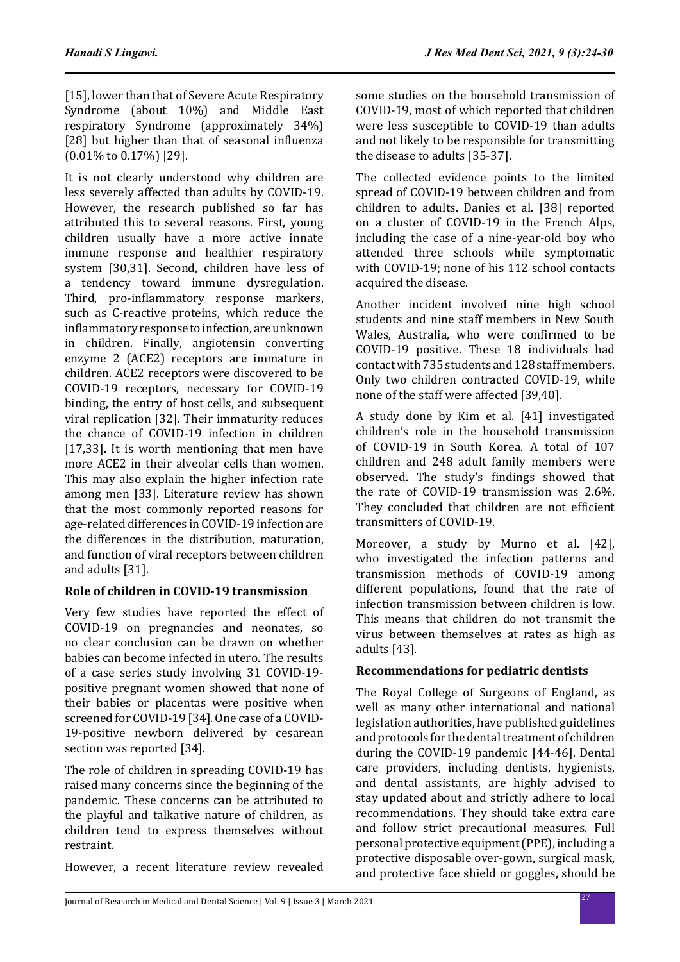[15], lower than that of Severe Acute Respiratory Syndrome (about 10%) and Middle East respiratory Syndrome (approximately 34%) [28] but higher than that of seasonal influenza (0.01% to 0.17%) [29].

It is not clearly understood why children are less severely affected than adults by COVID-19. However, the research published so far has attributed this to several reasons. First, young children usually have a more active innate immune response and healthier respiratory system [30,31]. Second, children have less of a tendency toward immune dysregulation. Third, pro-inflammatory response markers, such as C-reactive proteins, which reduce the inflammatory response to infection, are unknown in children. Finally, angiotensin converting enzyme 2 (ACE2) receptors are immature in children. ACE2 receptors were discovered to be COVID-19 receptors, necessary for COVID-19 binding, the entry of host cells, and subsequent viral replication [32]. Their immaturity reduces the chance of COVID-19 infection in children [17,33]. It is worth mentioning that men have more ACE2 in their alveolar cells than women. This may also explain the higher infection rate among men [33]. Literature review has shown that the most commonly reported reasons for age-related differences in COVID-19 infection are the differences in the distribution, maturation, and function of viral receptors between children and adults [31].

# **Role of children in COVID-19 transmission**

Very few studies have reported the effect of COVID-19 on pregnancies and neonates, so no clear conclusion can be drawn on whether babies can become infected in utero. The results of a case series study involving 31 COVID-19 positive pregnant women showed that none of their babies or placentas were positive when screened for COVID-19 [34]. One case of a COVID-19-positive newborn delivered by cesarean section was reported [34].

The role of children in spreading COVID-19 has raised many concerns since the beginning of the pandemic. These concerns can be attributed to the playful and talkative nature of children, as children tend to express themselves without restraint.

However, a recent literature review revealed

some studies on the household transmission of COVID-19, most of which reported that children were less susceptible to COVID-19 than adults and not likely to be responsible for transmitting the disease to adults [35-37].

The collected evidence points to the limited spread of COVID-19 between children and from children to adults. Danies et al. [38] reported on a cluster of COVID-19 in the French Alps, including the case of a nine-year-old boy who attended three schools while symptomatic with COVID-19; none of his 112 school contacts acquired the disease.

Another incident involved nine high school students and nine staff members in New South Wales, Australia, who were confirmed to be COVID-19 positive. These 18 individuals had contact with 735 students and 128 staff members. Only two children contracted COVID-19, while none of the staff were affected [39,40].

A study done by Kim et al. [41] investigated children's role in the household transmission of COVID-19 in South Korea. A total of 107 children and 248 adult family members were observed. The study's findings showed that the rate of COVID-19 transmission was 2.6%. They concluded that children are not efficient transmitters of COVID-19.

Moreover, a study by Murno et al. [42], who investigated the infection patterns and transmission methods of COVID-19 among different populations, found that the rate of infection transmission between children is low. This means that children do not transmit the virus between themselves at rates as high as adults [43].

# **Recommendations for pediatric dentists**

The Royal College of Surgeons of England, as well as many other international and national legislation authorities, have published guidelines and protocols for the dental treatment of children during the COVID-19 pandemic [44-46]. Dental care providers, including dentists, hygienists, and dental assistants, are highly advised to stay updated about and strictly adhere to local recommendations. They should take extra care and follow strict precautional measures. Full personal protective equipment (PPE), including a protective disposable over-gown, surgical mask, and protective face shield or goggles, should be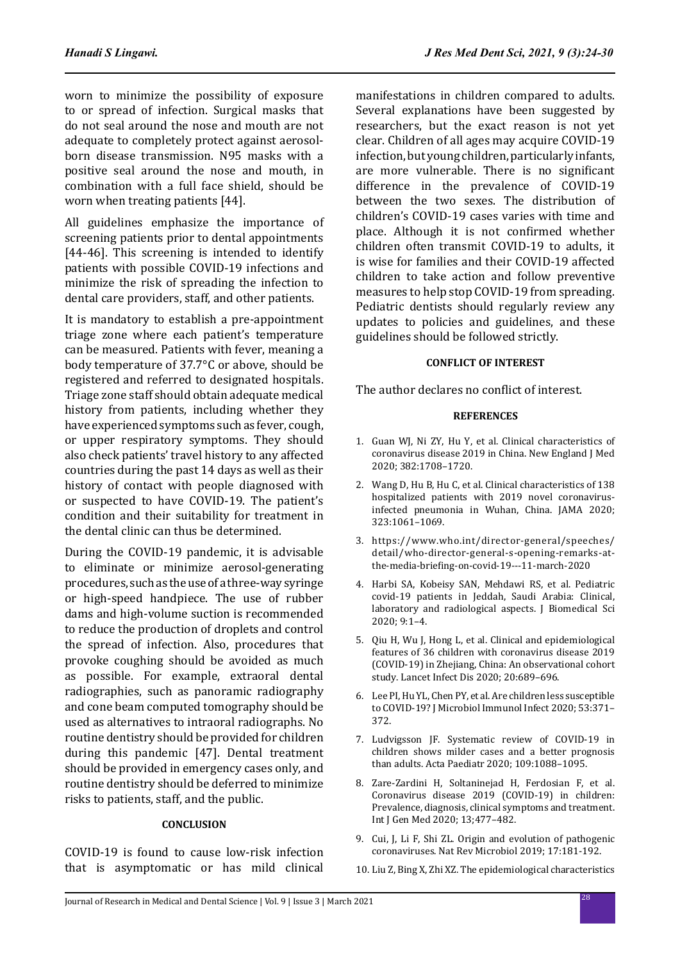worn to minimize the possibility of exposure to or spread of infection. Surgical masks that do not seal around the nose and mouth are not adequate to completely protect against aerosolborn disease transmission. N95 masks with a positive seal around the nose and mouth, in combination with a full face shield, should be worn when treating patients [44].

All guidelines emphasize the importance of screening patients prior to dental appointments [44-46]. This screening is intended to identify patients with possible COVID-19 infections and minimize the risk of spreading the infection to dental care providers, staff, and other patients.

It is mandatory to establish a pre-appointment triage zone where each patient's temperature can be measured. Patients with fever, meaning a body temperature of 37.7°C or above, should be registered and referred to designated hospitals. Triage zone staff should obtain adequate medical history from patients, including whether they have experienced symptoms such as fever, cough, or upper respiratory symptoms. They should also check patients' travel history to any affected countries during the past 14 days as well as their history of contact with people diagnosed with or suspected to have COVID-19. The patient's condition and their suitability for treatment in the dental clinic can thus be determined.

During the COVID-19 pandemic, it is advisable to eliminate or minimize aerosol-generating procedures, such as the use of a three-way syringe or high-speed handpiece. The use of rubber dams and high-volume suction is recommended to reduce the production of droplets and control the spread of infection. Also, procedures that provoke coughing should be avoided as much as possible. For example, extraoral dental radiographies, such as panoramic radiography and cone beam computed tomography should be used as alternatives to intraoral radiographs. No routine dentistry should be provided for children during this pandemic [47]. Dental treatment should be provided in emergency cases only, and routine dentistry should be deferred to minimize risks to patients, staff, and the public.

#### **CONCLUSION**

COVID-19 is found to cause low-risk infection that is asymptomatic or has mild clinical manifestations in children compared to adults. Several explanations have been suggested by researchers, but the exact reason is not yet clear. Children of all ages may acquire COVID-19 infection, but young children, particularly infants, are more vulnerable. There is no significant difference in the prevalence of COVID-19 between the two sexes. The distribution of children's COVID-19 cases varies with time and place. Although it is not confirmed whether children often transmit COVID-19 to adults, it is wise for families and their COVID-19 affected children to take action and follow preventive measures to help stop COVID-19 from spreading. Pediatric dentists should regularly review any updates to policies and guidelines, and these guidelines should be followed strictly.

#### **CONFLICT OF INTEREST**

The author declares no conflict of interest.

#### **REFERENCES**

- 1. Guan WJ, Ni ZY, Hu Y, et al. Clinical characteristics of coronavirus disease 2019 in China. New England J Med 2020; 382:1708–1720.
- 2. Wang D, Hu B, Hu C, et al. Clinical characteristics of 138 hospitalized patients with 2019 novel coronavirusinfected pneumonia in Wuhan, China. JAMA 2020; 323:1061–1069.
- 3. https://www.who.int/director-general/speeches/ detail/who-director-general-s-opening-remarks-atthe-media-briefing-on-covid-19---11-march-2020
- 4. Harbi SA, Kobeisy SAN, Mehdawi RS, et al. Pediatric covid-19 patients in Jeddah, Saudi Arabia: Clinical, laboratory and radiological aspects. J Biomedical Sci 2020; 9:1–4.
- 5. Qiu H, Wu J, Hong L, et al. Clinical and epidemiological features of 36 children with coronavirus disease 2019 (COVID-19) in Zhejiang, China: An observational cohort study. Lancet Infect Dis 2020; 20:689–696.
- 6. Lee PI, Hu YL, Chen PY, et al. Are children less susceptible to COVID-19? J Microbiol Immunol Infect 2020; 53:371– 372.
- 7. Ludvigsson JF. Systematic review of COVID-19 in children shows milder cases and a better prognosis than adults. Acta Paediatr 2020; 109:1088–1095.
- 8. Zare-Zardini H, Soltaninejad H, Ferdosian F, et al. Coronavirus disease 2019 (COVID-19) in children: Prevalence, diagnosis, clinical symptoms and treatment. Int J Gen Med 2020; 13;477–482.
- 9. Cui, J, Li F, Shi ZL. Origin and evolution of pathogenic coronaviruses. Nat Rev Microbiol 2019; 17:181-192.
- 10. Liu Z, Bing X, Zhi XZ. The epidemiological characteristics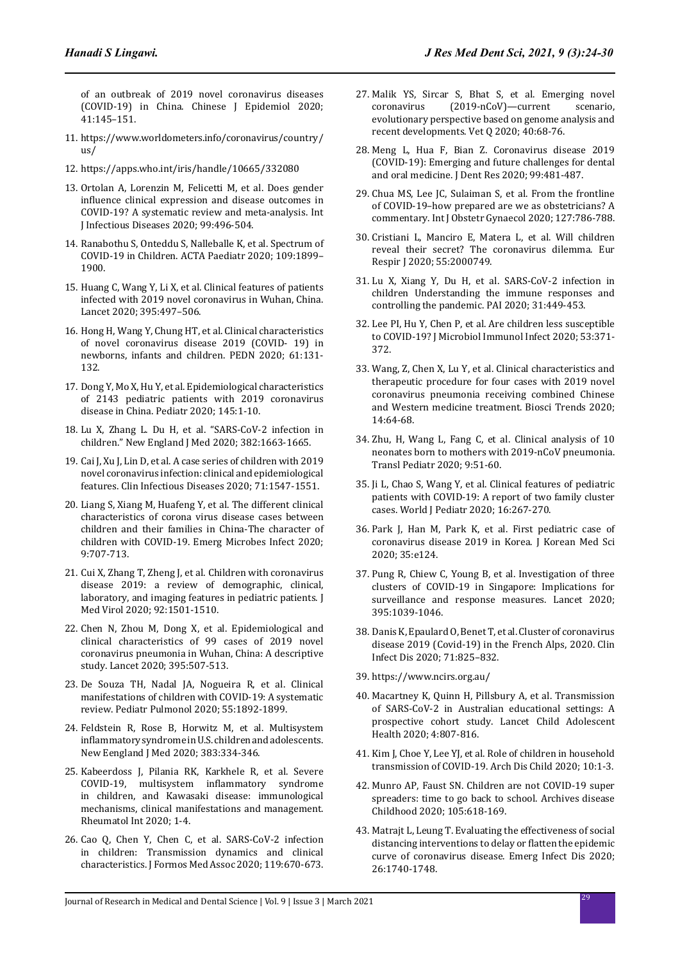of an outbreak of 2019 novel coronavirus diseases (COVID-19) in China. Chinese J Epidemiol 2020; 41:145–151.

- 11. https://www.worldometers.info/coronavirus/country/  $\overline{u}$
- 12. https://apps.who.int/iris/handle/10665/332080
- 13. Ortolan A, Lorenzin M, Felicetti M, et al. Does gender influence clinical expression and disease outcomes in COVID-19? A systematic review and meta-analysis. Int J Infectious Diseases 2020; 99:496-504.
- 14. Ranabothu S, Onteddu S, Nalleballe K, et al. Spectrum of COVID-19 in Children. ACTA Paediatr 2020; 109:1899– 1900.
- 15. Huang C, Wang Y, Li X, et al. Clinical features of patients infected with 2019 novel coronavirus in Wuhan, China. Lancet 2020; 395:497–506.
- 16. Hong H, Wang Y, Chung HT, et al. Clinical characteristics of novel coronavirus disease 2019 (COVID- 19) in newborns, infants and children. PEDN 2020; 61:131- 132.
- 17. Dong Y, Mo X, Hu Y, et al. Epidemiological characteristics of 2143 pediatric patients with 2019 coronavirus disease in China. Pediatr 2020; 145:1-10.
- 18. Lu X, Zhang L. Du H, et al. "SARS-CoV-2 infection in children." New England J Med 2020; 382:1663-1665.
- 19. Cai J, Xu J, Lin D, et al. A case series of children with 2019 novel coronavirus infection: clinical and epidemiological features. Clin Infectious Diseases 2020; 71:1547-1551.
- 20. Liang S, Xiang M, Huafeng Y, et al. The different clinical characteristics of corona virus disease cases between children and their families in China-The character of children with COVID-19. Emerg Microbes Infect 2020; 9:707-713.
- 21. Cui X, Zhang T, Zheng J, et al. Children with coronavirus disease 2019: a review of demographic, clinical, laboratory, and imaging features in pediatric patients. J Med Virol 2020; 92:1501-1510.
- 22. Chen N, Zhou M, Dong X, et al. Epidemiological and clinical characteristics of 99 cases of 2019 novel coronavirus pneumonia in Wuhan, China: A descriptive study. Lancet 2020; 395:507-513.
- 23. De Souza TH, Nadal JA, Nogueira R, et al. Clinical manifestations of children with COVID-19: A systematic review. Pediatr Pulmonol 2020; 55:1892-1899.
- 24. Feldstein R, Rose B, Horwitz M, et al. Multisystem inflammatory syndrome in U.S. children and adolescents. New Eengland J Med 2020; 383:334-346.
- 25. Kabeerdoss J, Pilania RK, Karkhele R, et al. Severe COVID-19, multisystem inflammatory syndrome in children, and Kawasaki disease: immunological mechanisms, clinical manifestations and management. Rheumatol Int 2020; 1-4.
- 26. Cao Q, Chen Y, Chen C, et al. SARS-CoV-2 infection in children: Transmission dynamics and clinical characteristics. J Formos Med Assoc 2020; 119:670-673.
- 27. Malik YS, Sircar S, Bhat S, et al. Emerging novel coronavirus (2019-nCoV)—current scenario.  $(2019-nCoV)$ —current evolutionary perspective based on genome analysis and recent developments. Vet Q 2020; 40:68-76.
- 28. Meng L, Hua F, Bian Z. Coronavirus disease 2019 (COVID-19): Emerging and future challenges for dental and oral medicine. J Dent Res 2020; 99:481-487.
- 29. Chua MS, Lee JC, Sulaiman S, et al. From the frontline of COVID-19–how prepared are we as obstetricians? A commentary. Int J Obstetr Gynaecol 2020; 127:786-788.
- 30. Cristiani L, Manciro E, Matera L, et al. Will children reveal their secret? The coronavirus dilemma. Eur Respir J 2020; 55:2000749.
- 31. Lu X, Xiang Y, Du H, et al. SARS-CoV-2 infection in children Understanding the immune responses and controlling the pandemic. PAI 2020; 31:449-453.
- 32. Lee PI, Hu Y, Chen P, et al. Are children less susceptible to COVID-19? J Microbiol Immunol Infect 2020; 53:371- 372.
- 33. Wang, Z, Chen X, Lu Y, et al. Clinical characteristics and therapeutic procedure for four cases with 2019 novel coronavirus pneumonia receiving combined Chinese and Western medicine treatment. Biosci Trends 2020; 14:64-68.
- 34. Zhu, H, Wang L, Fang C, et al. Clinical analysis of 10 neonates born to mothers with 2019-nCoV pneumonia. Transl Pediatr 2020; 9:51-60.
- 35. Ji L, Chao S, Wang Y, et al. Clinical features of pediatric patients with COVID-19: A report of two family cluster cases. World J Pediatr 2020; 16:267-270.
- 36. Park J, Han M, Park K, et al. First pediatric case of coronavirus disease 2019 in Korea. J Korean Med Sci 2020; 35:e124.
- 37. Pung R, Chiew C, Young B, et al. Investigation of three clusters of COVID-19 in Singapore: Implications for surveillance and response measures. Lancet 2020; 395:1039-1046.
- 38. Danis K, Epaulard O, Benet T, et al. Cluster of coronavirus disease 2019 (Covid-19) in the French Alps, 2020. Clin Infect Dis 2020; 71:825–832.
- 39. https://www.ncirs.org.au/
- 40. Macartney K, Quinn H, Pillsbury A, et al. Transmission of SARS-CoV-2 in Australian educational settings: A prospective cohort study. Lancet Child Adolescent Health 2020; 4:807-816.
- 41. Kim J, Choe Y, Lee YJ, et al. Role of children in household transmission of COVID-19. Arch Dis Child 2020; 10:1-3.
- 42. Munro AP, Faust SN. Children are not COVID-19 super spreaders: time to go back to school. Archives disease Childhood 2020; 105:618-169.
- 43. Matrajt L, Leung T. Evaluating the effectiveness of social distancing interventions to delay or flatten the epidemic curve of coronavirus disease. Emerg Infect Dis 2020; 26:1740-1748.